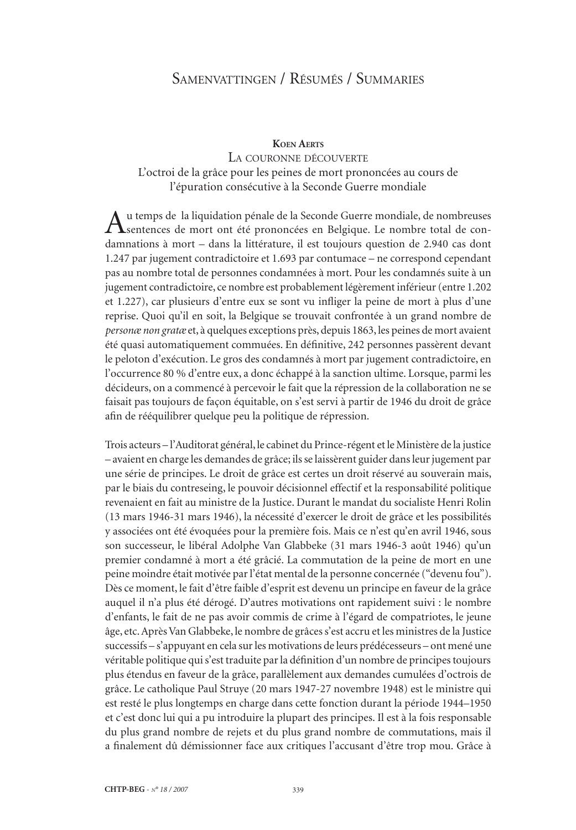# Samenvattingen / Résumés / Summaries

#### **Koen Aerts**

### La couronne découverte L'octroi de la grâce pour les peines de mort prononcées au cours de l'épuration consécutive à la Seconde Guerre mondiale

Au temps de la liquidation pénale de la Seconde Guerre mondiale, de nombreuses sentences de mort ont été prononcées en Belgique. Le nombre total de condamnations à mort – dans la littérature, il est toujours question de 2.940 cas dont 1.247 par jugement contradictoire et 1.693 par contumace – ne correspond cependant pas au nombre total de personnes condamnées à mort. Pour les condamnés suite à un jugement contradictoire, ce nombre est probablement légèrement inférieur (entre 1.202 et 1.227), car plusieurs d'entre eux se sont vu infliger la peine de mort à plus d'une reprise. Quoi qu'il en soit, la Belgique se trouvait confrontée à un grand nombre de *personæ non gratæ* et, à quelques exceptions près, depuis 1863, les peines de mort avaient été quasi automatiquement commuées. En définitive, 242 personnes passèrent devant le peloton d'exécution. Le gros des condamnés à mort par jugement contradictoire, en l'occurrence 80 % d'entre eux, a donc échappé à la sanction ultime. Lorsque, parmi les décideurs, on a commencé à percevoir le fait que la répression de la collaboration ne se faisait pas toujours de façon équitable, on s'est servi à partir de 1946 du droit de grâce afin de rééquilibrer quelque peu la politique de répression.

Trois acteurs – l'Auditorat général, le cabinet du Prince-régent et le Ministère de la justice – avaient en charge les demandes de grâce; ils se laissèrent guider dans leur jugement par une série de principes. Le droit de grâce est certes un droit réservé au souverain mais, par le biais du contreseing, le pouvoir décisionnel effectif et la responsabilité politique revenaient en fait au ministre de la Justice. Durant le mandat du socialiste Henri Rolin (13 mars 1946-31 mars 1946), la nécessité d'exercer le droit de grâce et les possibilités y associées ont été évoquées pour la première fois. Mais ce n'est qu'en avril 1946, sous son successeur, le libéral Adolphe Van Glabbeke (31 mars 1946-3 août 1946) qu'un premier condamné à mort a été grâcié. La commutation de la peine de mort en une peine moindre était motivée par l'état mental de la personne concernée ("devenu fou"). Dès ce moment, le fait d'être faible d'esprit est devenu un principe en faveur de la grâce auquel il n'a plus été dérogé. D'autres motivations ont rapidement suivi : le nombre d'enfants, le fait de ne pas avoir commis de crime à l'égard de compatriotes, le jeune âge, etc. Après Van Glabbeke, le nombre de grâces s'est accru et les ministres de la Justice successifs – s'appuyant en cela sur les motivations de leurs prédécesseurs – ont mené une véritable politique qui s'est traduite par la définition d'un nombre de principes toujours plus étendus en faveur de la grâce, parallèlement aux demandes cumulées d'octrois de grâce. Le catholique Paul Struye (20 mars 1947-27 novembre 1948) est le ministre qui est resté le plus longtemps en charge dans cette fonction durant la période 1944–1950 et c'est donc lui qui a pu introduire la plupart des principes. Il est à la fois responsable du plus grand nombre de rejets et du plus grand nombre de commutations, mais il a finalement dû démissionner face aux critiques l'accusant d'être trop mou. Grâce à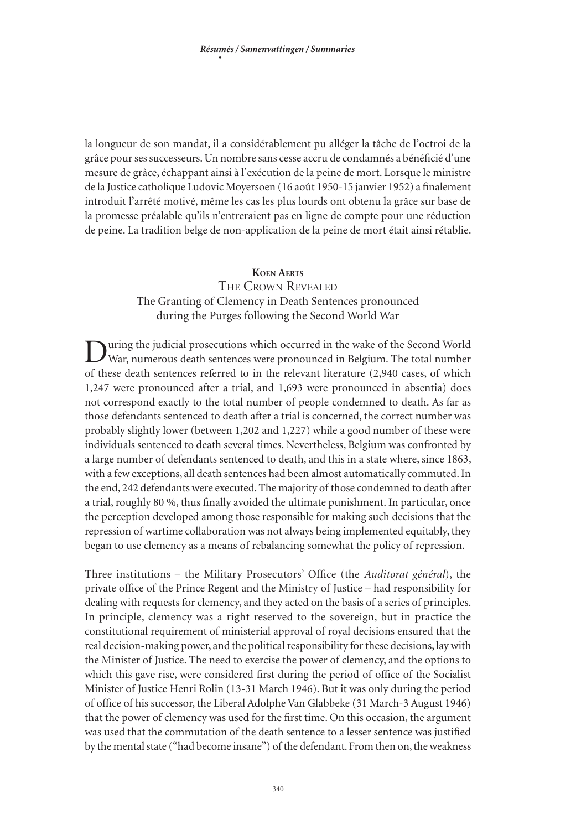la longueur de son mandat, il a considérablement pu alléger la tâche de l'octroi de la grâce pour ses successeurs. Un nombre sans cesse accru de condamnés a bénéficié d'une mesure de grâce, échappant ainsi à l'exécution de la peine de mort. Lorsque le ministre de la Justice catholique Ludovic Moyersoen (16 août 1950-15 janvier 1952) a finalement introduit l'arrêté motivé, même les cas les plus lourds ont obtenu la grâce sur base de la promesse préalable qu'ils n'entreraient pas en ligne de compte pour une réduction de peine. La tradition belge de non-application de la peine de mort était ainsi rétablie.

#### **Koen Aerts**

# The Crown Revealed The Granting of Clemency in Death Sentences pronounced during the Purges following the Second World War

During the judicial prosecutions which occurred in the wake of the Second World War, numerous death sentences were pronounced in Belgium. The total number of these death sentences referred to in the relevant literature (2,940 cases, of which 1,247 were pronounced after a trial, and 1,693 were pronounced in absentia) does not correspond exactly to the total number of people condemned to death. As far as those defendants sentenced to death after a trial is concerned, the correct number was probably slightly lower (between 1,202 and 1,227) while a good number of these were individuals sentenced to death several times. Nevertheless, Belgium was confronted by a large number of defendants sentenced to death, and this in a state where, since 1863, with a few exceptions, all death sentences had been almost automatically commuted. In the end, 242 defendants were executed. The majority of those condemned to death after a trial, roughly 80 %, thus finally avoided the ultimate punishment. In particular, once the perception developed among those responsible for making such decisions that the repression of wartime collaboration was not always being implemented equitably, they began to use clemency as a means of rebalancing somewhat the policy of repression.

Three institutions – the Military Prosecutors' Office (the *Auditorat général*), the private office of the Prince Regent and the Ministry of Justice – had responsibility for dealing with requests for clemency, and they acted on the basis of a series of principles. In principle, clemency was a right reserved to the sovereign, but in practice the constitutional requirement of ministerial approval of royal decisions ensured that the real decision-making power, and the political responsibility for these decisions, lay with the Minister of Justice. The need to exercise the power of clemency, and the options to which this gave rise, were considered first during the period of office of the Socialist Minister of Justice Henri Rolin (13-31 March 1946). But it was only during the period of office of his successor, the Liberal Adolphe Van Glabbeke (31 March-3 August 1946) that the power of clemency was used for the first time. On this occasion, the argument was used that the commutation of the death sentence to a lesser sentence was justified by the mental state ("had become insane") of the defendant. From then on, the weakness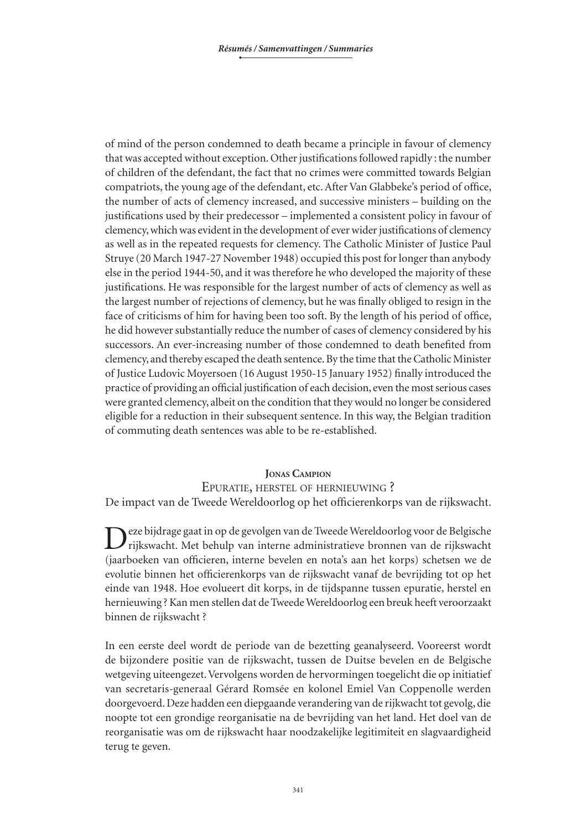of mind of the person condemned to death became a principle in favour of clemency that was accepted without exception. Other justifications followed rapidly : the number of children of the defendant, the fact that no crimes were committed towards Belgian compatriots, the young age of the defendant, etc. After Van Glabbeke's period of office, the number of acts of clemency increased, and successive ministers – building on the justifications used by their predecessor – implemented a consistent policy in favour of clemency, which was evident in the development of ever wider justifications of clemency as well as in the repeated requests for clemency. The Catholic Minister of Justice Paul Struye (20 March 1947-27 November 1948) occupied this post for longer than anybody else in the period 1944-50, and it was therefore he who developed the majority of these justifications. He was responsible for the largest number of acts of clemency as well as the largest number of rejections of clemency, but he was finally obliged to resign in the face of criticisms of him for having been too soft. By the length of his period of office, he did however substantially reduce the number of cases of clemency considered by his successors. An ever-increasing number of those condemned to death benefited from clemency, and thereby escaped the death sentence. By the time that the Catholic Minister of Justice Ludovic Moyersoen (16 August 1950-15 January 1952) finally introduced the practice of providing an official justification of each decision, even the most serious cases were granted clemency, albeit on the condition that they would no longer be considered eligible for a reduction in their subsequent sentence. In this way, the Belgian tradition of commuting death sentences was able to be re-established.

#### **Jonas Campion**

Epuratie, herstel of hernieuwing ? De impact van de Tweede Wereldoorlog op het officierenkorps van de rijkswacht.

Deze bijdrage gaat in op de gevolgen van de Tweede Wereldoorlog voor de Belgische rijkswacht. Met behulp van interne administratieve bronnen van de rijkswacht (jaarboeken van officieren, interne bevelen en nota's aan het korps) schetsen we de evolutie binnen het officierenkorps van de rijkswacht vanaf de bevrijding tot op het einde van 1948. Hoe evolueert dit korps, in de tijdspanne tussen epuratie, herstel en hernieuwing ? Kan men stellen dat de Tweede Wereldoorlog een breuk heeft veroorzaakt binnen de rijkswacht ?

In een eerste deel wordt de periode van de bezetting geanalyseerd. Vooreerst wordt de bijzondere positie van de rijkswacht, tussen de Duitse bevelen en de Belgische wetgeving uiteengezet. Vervolgens worden de hervormingen toegelicht die op initiatief van secretaris-generaal Gérard Romsée en kolonel Emiel Van Coppenolle werden doorgevoerd. Deze hadden een diepgaande verandering van de rijkwacht tot gevolg, die noopte tot een grondige reorganisatie na de bevrijding van het land. Het doel van de reorganisatie was om de rijkswacht haar noodzakelijke legitimiteit en slagvaardigheid terug te geven.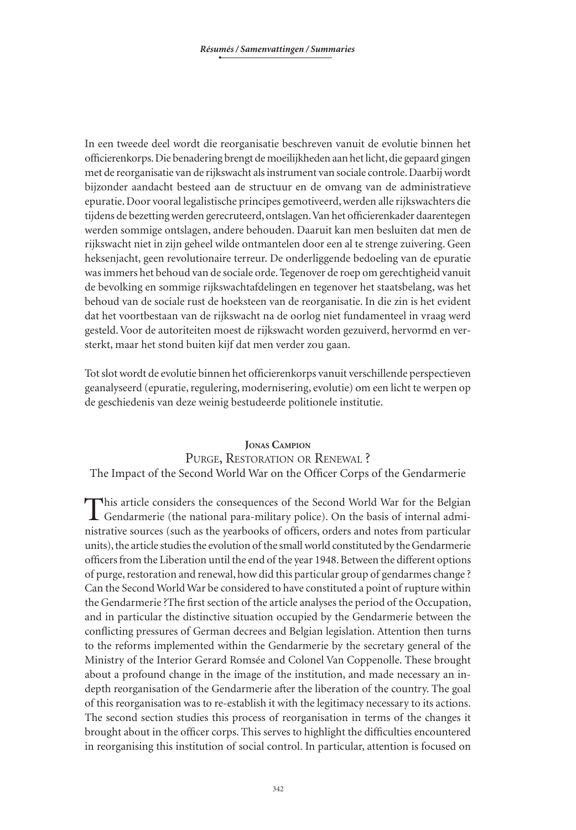In een tweede deel wordt die reorganisatie beschreven vanuit de evolutie binnen het officierenkorps. Die benadering brengt de moeilijkheden aan het licht, die gepaard gingen met de reorganisatie van de rijkswacht als instrument van sociale controle. Daarbij wordt bijzonder aandacht besteed aan de structuur en de omvang van de administratieve epuratie. Door vooral legalistische principes gemotiveerd, werden alle rijkswachters die tijdens de bezetting werden gerecruteerd, ontslagen. Van het officierenkader daarentegen werden sommige ontslagen, andere behouden. Daaruit kan men besluiten dat men de rijkswacht niet in zijn geheel wilde ontmantelen door een al te strenge zuivering. Geen heksenjacht, geen revolutionaire terreur. De onderliggende bedoeling van de epuratie was immers het behoud van de sociale orde. Tegenover de roep om gerechtigheid vanuit de bevolking en sommige rijkswachtafdelingen en tegenover het staatsbelang, was het behoud van de sociale rust de hoeksteen van de reorganisatie. In die zin is het evident dat het voortbestaan van de rijkswacht na de oorlog niet fundamenteel in vraag werd gesteld. Voor de autoriteiten moest de rijkswacht worden gezuiverd, hervormd en versterkt, maar het stond buiten kijf dat men verder zou gaan.

Tot slot wordt de evolutie binnen het officierenkorps vanuit verschillende perspectieven geanalyseerd (epuratie, regulering, modernisering, evolutie) om een licht te werpen op de geschiedenis van deze weinig bestudeerde politionele institutie.

# **Jonas Campion**

# PURGE, RESTORATION OR RENEWAL? The Impact of the Second World War on the Officer Corps of the Gendarmerie

This article considers the consequences of the Second World War for the Belgian Gendarmerie (the national para-military police). On the basis of internal administrative sources (such as the yearbooks of officers, orders and notes from particular units), the article studies the evolution of the small world constituted by the Gendarmerie officers from the Liberation until the end of the year 1948. Between the different options of purge, restoration and renewal, how did this particular group of gendarmes change ? Can the Second World War be considered to have constituted a point of rupture within the Gendarmerie ?The first section of the article analyses the period of the Occupation, and in particular the distinctive situation occupied by the Gendarmerie between the conflicting pressures of German decrees and Belgian legislation. Attention then turns to the reforms implemented within the Gendarmerie by the secretary general of the Ministry of the Interior Gerard Romsée and Colonel Van Coppenolle. These brought about a profound change in the image of the institution, and made necessary an indepth reorganisation of the Gendarmerie after the liberation of the country. The goal of this reorganisation was to re-establish it with the legitimacy necessary to its actions. The second section studies this process of reorganisation in terms of the changes it brought about in the officer corps. This serves to highlight the difficulties encountered in reorganising this institution of social control. In particular, attention is focused on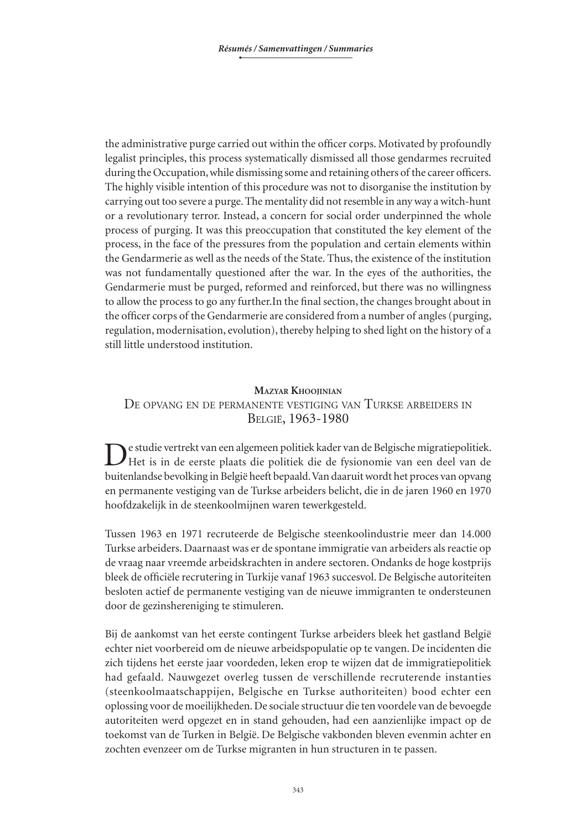the administrative purge carried out within the officer corps. Motivated by profoundly legalist principles, this process systematically dismissed all those gendarmes recruited during the Occupation, while dismissing some and retaining others of the career officers. The highly visible intention of this procedure was not to disorganise the institution by carrying out too severe a purge. The mentality did not resemble in any way a witch-hunt or a revolutionary terror. Instead, a concern for social order underpinned the whole process of purging. It was this preoccupation that constituted the key element of the process, in the face of the pressures from the population and certain elements within the Gendarmerie as well as the needs of the State. Thus, the existence of the institution was not fundamentally questioned after the war. In the eyes of the authorities, the Gendarmerie must be purged, reformed and reinforced, but there was no willingness to allow the process to go any further.In the final section, the changes brought about in the officer corps of the Gendarmerie are considered from a number of angles (purging, regulation, modernisation, evolution), thereby helping to shed light on the history of a still little understood institution.

### **Mazyar Khoojinian** De opvang en de permanente vestiging van Turkse arbeiders in België, 1963-1980

De studie vertrekt van een algemeen politiek kader van de Belgische migratiepolitiek. Het is in de eerste plaats die politiek die de fysionomie van een deel van de buitenlandse bevolking in België heeft bepaald. Van daaruit wordt het proces van opvang en permanente vestiging van de Turkse arbeiders belicht, die in de jaren 1960 en 1970 hoofdzakelijk in de steenkoolmijnen waren tewerkgesteld.

Tussen 1963 en 1971 recruteerde de Belgische steenkoolindustrie meer dan 14.000 Turkse arbeiders. Daarnaast was er de spontane immigratie van arbeiders als reactie op de vraag naar vreemde arbeidskrachten in andere sectoren. Ondanks de hoge kostprijs bleek de officiële recrutering in Turkije vanaf 1963 succesvol. De Belgische autoriteiten besloten actief de permanente vestiging van de nieuwe immigranten te ondersteunen door de gezinshereniging te stimuleren.

Bij de aankomst van het eerste contingent Turkse arbeiders bleek het gastland België echter niet voorbereid om de nieuwe arbeidspopulatie op te vangen. De incidenten die zich tijdens het eerste jaar voordeden, leken erop te wijzen dat de immigratiepolitiek had gefaald. Nauwgezet overleg tussen de verschillende recruterende instanties (steenkoolmaatschappijen, Belgische en Turkse authoriteiten) bood echter een oplossing voor de moeilijkheden. De sociale structuur die ten voordele van de bevoegde autoriteiten werd opgezet en in stand gehouden, had een aanzienlijke impact op de toekomst van de Turken in België. De Belgische vakbonden bleven evenmin achter en zochten evenzeer om de Turkse migranten in hun structuren in te passen.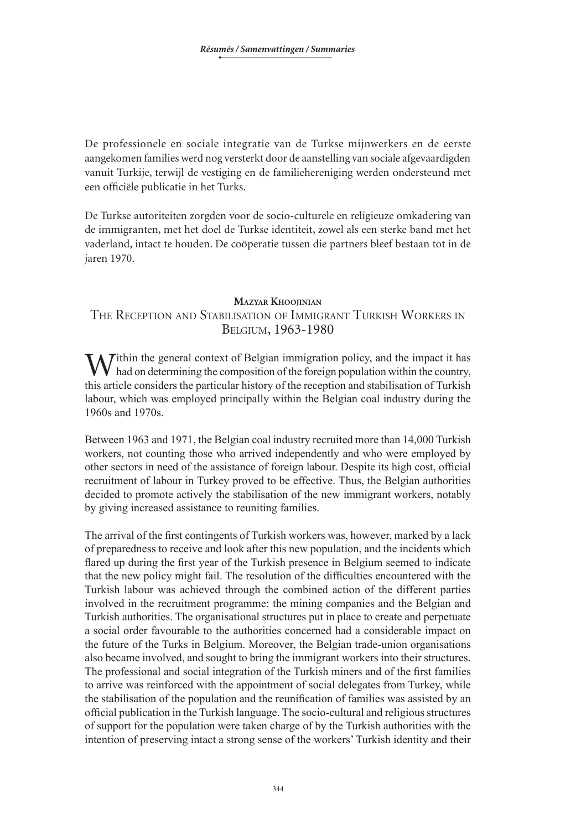De professionele en sociale integratie van de Turkse mijnwerkers en de eerste aangekomen families werd nog versterkt door de aanstelling van sociale afgevaardigden vanuit Turkije, terwijl de vestiging en de familiehereniging werden ondersteund met een officiële publicatie in het Turks.

De Turkse autoriteiten zorgden voor de socio-culturele en religieuze omkadering van de immigranten, met het doel de Turkse identiteit, zowel als een sterke band met het vaderland, intact te houden. De coöperatie tussen die partners bleef bestaan tot in de jaren 1970.

#### **Mazyar Khoojinian**

### The Reception and Stabilisation of Immigrant Turkish Workers in Belgium, 1963-1980

Within the general context of Belgian immigration policy, and the impact it has had on determining the composition of the foreign population within the country, this article considers the particular history of the reception and stabilisation of Turkish labour, which was employed principally within the Belgian coal industry during the 1960s and 1970s.

Between 1963 and 1971, the Belgian coal industry recruited more than 14,000 Turkish workers, not counting those who arrived independently and who were employed by other sectors in need of the assistance of foreign labour. Despite its high cost, official recruitment of labour in Turkey proved to be effective. Thus, the Belgian authorities decided to promote actively the stabilisation of the new immigrant workers, notably by giving increased assistance to reuniting families.

The arrival of the first contingents of Turkish workers was, however, marked by a lack of preparedness to receive and look after this new population, and the incidents which flared up during the first year of the Turkish presence in Belgium seemed to indicate that the new policy might fail. The resolution of the difficulties encountered with the Turkish labour was achieved through the combined action of the different parties involved in the recruitment programme: the mining companies and the Belgian and Turkish authorities. The organisational structures put in place to create and perpetuate a social order favourable to the authorities concerned had a considerable impact on the future of the Turks in Belgium. Moreover, the Belgian trade-union organisations also became involved, and sought to bring the immigrant workers into their structures. The professional and social integration of the Turkish miners and of the first families to arrive was reinforced with the appointment of social delegates from Turkey, while the stabilisation of the population and the reunification of families was assisted by an official publication in the Turkish language. The socio-cultural and religious structures of support for the population were taken charge of by the Turkish authorities with the intention of preserving intact a strong sense of the workers' Turkish identity and their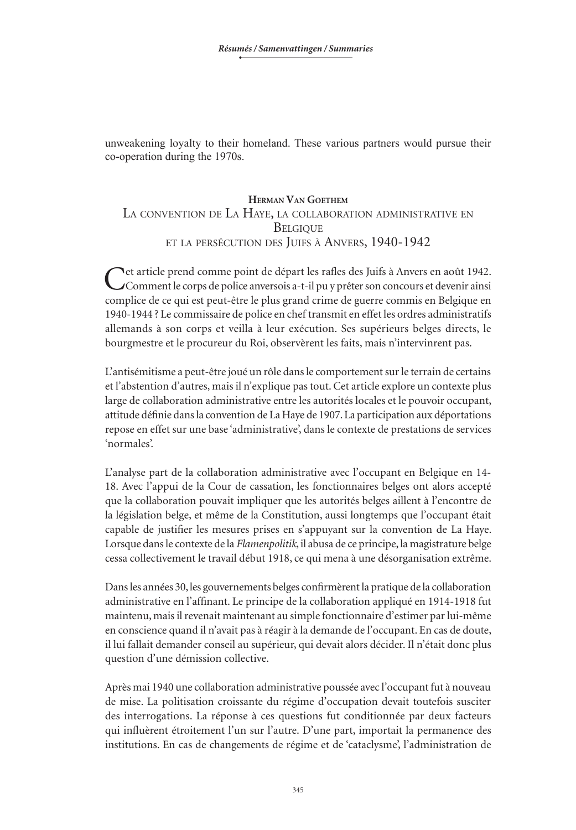unweakening loyalty to their homeland. These various partners would pursue their co-operation during the 1970s.

# **Herman Van Goethem** La convention de La Haye, la collaboration administrative en **BELGIQUE** et la persécution des Juifs <sup>à</sup> Anvers, 1940-1942

Cet article prend comme point de départ les rafles des Juifs à Anvers en août 1942. Comment le corps de police anversois a-t-il pu y prêter son concours et devenir ainsi complice de ce qui est peut-être le plus grand crime de guerre commis en Belgique en 1940-1944 ? Le commissaire de police en chef transmit en effet les ordres administratifs allemands à son corps et veilla à leur exécution. Ses supérieurs belges directs, le bourgmestre et le procureur du Roi, observèrent les faits, mais n'intervinrent pas.

L'antisémitisme a peut-être joué un rôle dans le comportement sur le terrain de certains et l'abstention d'autres, mais il n'explique pas tout. Cet article explore un contexte plus large de collaboration administrative entre les autorités locales et le pouvoir occupant, attitude définie dans la convention de La Haye de 1907. La participation aux déportations repose en effet sur une base 'administrative', dans le contexte de prestations de services 'normales'.

L'analyse part de la collaboration administrative avec l'occupant en Belgique en 14-18. Avec l'appui de la Cour de cassation, les fonctionnaires belges ont alors accepté que la collaboration pouvait impliquer que les autorités belges aillent à l'encontre de la législation belge, et même de la Constitution, aussi longtemps que l'occupant était capable de justifier les mesures prises en s'appuyant sur la convention de La Haye. Lorsque dans le contexte de la *Flamenpolitik*, il abusa de ce principe, la magistrature belge cessa collectivement le travail début 1918, ce qui mena à une désorganisation extrême.

Dans les années 30, les gouvernements belges confirmèrent la pratique de la collaboration administrative en l'affinant. Le principe de la collaboration appliqué en 1914-1918 fut maintenu, mais il revenait maintenant au simple fonctionnaire d'estimer par lui-même en conscience quand il n'avait pas à réagir à la demande de l'occupant. En cas de doute, il lui fallait demander conseil au supérieur, qui devait alors décider. Il n'était donc plus question d'une démission collective.

Après mai 1940 une collaboration administrative poussée avec l'occupant fut à nouveau de mise. La politisation croissante du régime d'occupation devait toutefois susciter des interrogations. La réponse à ces questions fut conditionnée par deux facteurs qui influèrent étroitement l'un sur l'autre. D'une part, importait la permanence des institutions. En cas de changements de régime et de 'cataclysme', l'administration de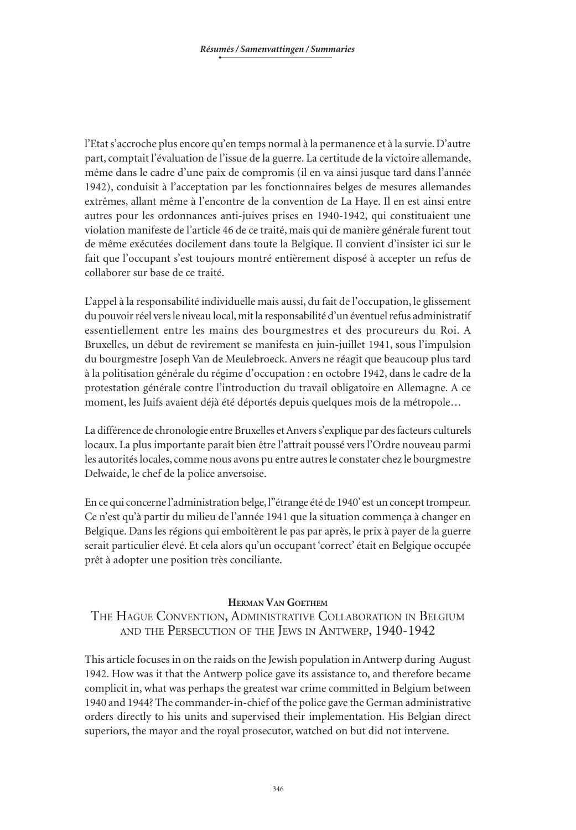l'Etat s'accroche plus encore qu'en temps normal à la permanence et à la survie. D'autre part, comptait l'évaluation de l'issue de la guerre. La certitude de la victoire allemande, même dans le cadre d'une paix de compromis (il en va ainsi jusque tard dans l'année 1942), conduisit à l'acceptation par les fonctionnaires belges de mesures allemandes extrêmes, allant même à l'encontre de la convention de La Haye. Il en est ainsi entre autres pour les ordonnances anti-juives prises en 1940-1942, qui constituaient une violation manifeste de l'article 46 de ce traité, mais qui de manière générale furent tout de même exécutées docilement dans toute la Belgique. Il convient d'insister ici sur le fait que l'occupant s'est toujours montré entièrement disposé à accepter un refus de collaborer sur base de ce traité.

L'appel à la responsabilité individuelle mais aussi, du fait de l'occupation, le glissement du pouvoir réel vers le niveau local, mit la responsabilité d'un éventuel refus administratif essentiellement entre les mains des bourgmestres et des procureurs du Roi. A Bruxelles, un début de revirement se manifesta en juin-juillet 1941, sous l'impulsion du bourgmestre Joseph Van de Meulebroeck. Anvers ne réagit que beaucoup plus tard à la politisation générale du régime d'occupation : en octobre 1942, dans le cadre de la protestation générale contre l'introduction du travail obligatoire en Allemagne. A ce moment, les Juifs avaient déjà été déportés depuis quelques mois de la métropole…

La différence de chronologie entre Bruxelles et Anvers s'explique par des facteurs culturels locaux. La plus importante paraît bien être l'attrait poussé vers l'Ordre nouveau parmi les autorités locales, comme nous avons pu entre autres le constater chez le bourgmestre Delwaide, le chef de la police anversoise.

En ce qui concerne l'administration belge, l''étrange été de 1940' est un concept trompeur. Ce n'est qu'à partir du milieu de l'année 1941 que la situation commença à changer en Belgique. Dans les régions qui emboîtèrent le pas par après, le prix à payer de la guerre serait particulier élevé. Et cela alors qu'un occupant 'correct' était en Belgique occupée prêt à adopter une position très conciliante.

### **Herman Van Goethem**

The Hague Convention, Administrative Collaboration in Belgium and the Persecution of the Jews in Antwerp, 1940-1942

This article focuses in on the raids on the Jewish population in Antwerp during August 1942. How was it that the Antwerp police gave its assistance to, and therefore became complicit in, what was perhaps the greatest war crime committed in Belgium between 1940 and 1944? The commander-in-chief of the police gave the German administrative orders directly to his units and supervised their implementation. His Belgian direct superiors, the mayor and the royal prosecutor, watched on but did not intervene.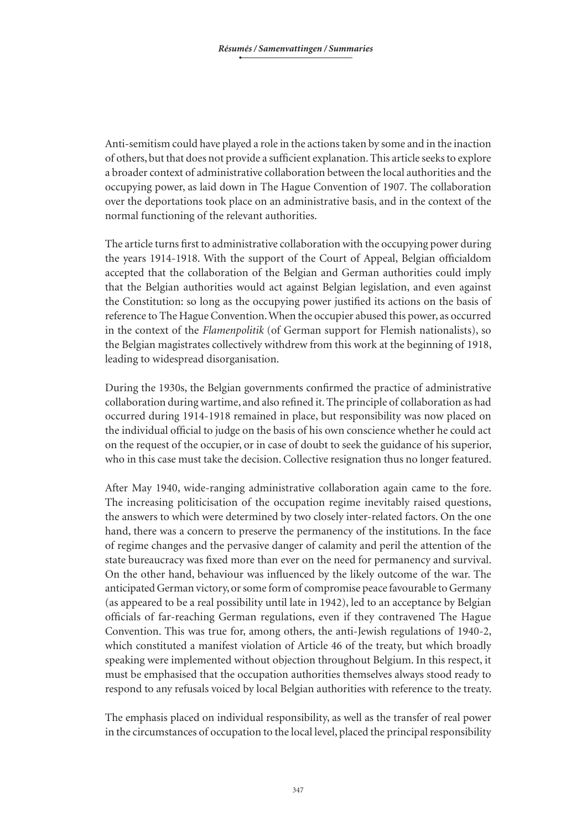Anti-semitism could have played a role in the actions taken by some and in the inaction of others, but that does not provide a sufficient explanation. This article seeks to explore a broader context of administrative collaboration between the local authorities and the occupying power, as laid down in The Hague Convention of 1907. The collaboration over the deportations took place on an administrative basis, and in the context of the normal functioning of the relevant authorities.

The article turns first to administrative collaboration with the occupying power during the years 1914-1918. With the support of the Court of Appeal, Belgian officialdom accepted that the collaboration of the Belgian and German authorities could imply that the Belgian authorities would act against Belgian legislation, and even against the Constitution: so long as the occupying power justified its actions on the basis of reference to The Hague Convention. When the occupier abused this power, as occurred in the context of the *Flamenpolitik* (of German support for Flemish nationalists), so the Belgian magistrates collectively withdrew from this work at the beginning of 1918, leading to widespread disorganisation.

During the 1930s, the Belgian governments confirmed the practice of administrative collaboration during wartime, and also refined it. The principle of collaboration as had occurred during 1914-1918 remained in place, but responsibility was now placed on the individual official to judge on the basis of his own conscience whether he could act on the request of the occupier, or in case of doubt to seek the guidance of his superior, who in this case must take the decision. Collective resignation thus no longer featured.

After May 1940, wide-ranging administrative collaboration again came to the fore. The increasing politicisation of the occupation regime inevitably raised questions, the answers to which were determined by two closely inter-related factors. On the one hand, there was a concern to preserve the permanency of the institutions. In the face of regime changes and the pervasive danger of calamity and peril the attention of the state bureaucracy was fixed more than ever on the need for permanency and survival. On the other hand, behaviour was influenced by the likely outcome of the war. The anticipated German victory, or some form of compromise peace favourable to Germany (as appeared to be a real possibility until late in 1942), led to an acceptance by Belgian officials of far-reaching German regulations, even if they contravened The Hague Convention. This was true for, among others, the anti-Jewish regulations of 1940-2, which constituted a manifest violation of Article 46 of the treaty, but which broadly speaking were implemented without objection throughout Belgium. In this respect, it must be emphasised that the occupation authorities themselves always stood ready to respond to any refusals voiced by local Belgian authorities with reference to the treaty.

The emphasis placed on individual responsibility, as well as the transfer of real power in the circumstances of occupation to the local level, placed the principal responsibility